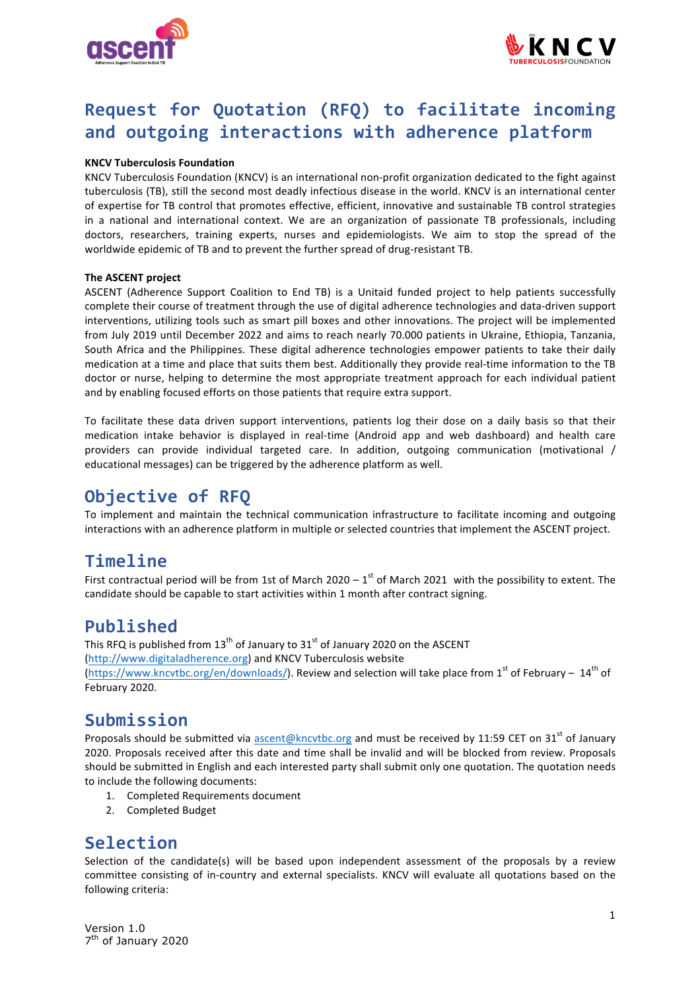



# **Request for Quotation (RFQ) to facilitate incoming** and outgoing interactions with adherence platform

### **KNCV Tuberculosis Foundation**

KNCV Tuberculosis Foundation (KNCV) is an international non-profit organization dedicated to the fight against tuberculosis (TB), still the second most deadly infectious disease in the world. KNCV is an international center of expertise for TB control that promotes effective, efficient, innovative and sustainable TB control strategies in a national and international context. We are an organization of passionate TB professionals, including doctors, researchers, training experts, nurses and epidemiologists. We aim to stop the spread of the worldwide epidemic of TB and to prevent the further spread of drug-resistant TB.

#### **The ASCENT project**

ASCENT (Adherence Support Coalition to End TB) is a Unitaid funded project to help patients successfully complete their course of treatment through the use of digital adherence technologies and data-driven support interventions, utilizing tools such as smart pill boxes and other innovations. The project will be implemented from July 2019 until December 2022 and aims to reach nearly 70.000 patients in Ukraine, Ethiopia, Tanzania, South Africa and the Philippines. These digital adherence technologies empower patients to take their daily medication at a time and place that suits them best. Additionally they provide real-time information to the TB doctor or nurse, helping to determine the most appropriate treatment approach for each individual patient and by enabling focused efforts on those patients that require extra support.

To facilitate these data driven support interventions, patients log their dose on a daily basis so that their medication intake behavior is displayed in real-time (Android app and web dashboard) and health care providers can provide individual targeted care. In addition, outgoing communication (motivational / educational messages) can be triggered by the adherence platform as well.

# **Objective of RFQ**

To implement and maintain the technical communication infrastructure to facilitate incoming and outgoing interactions with an adherence platform in multiple or selected countries that implement the ASCENT project.

## **Timeline**

First contractual period will be from 1st of March 2020 – 1<sup>st</sup> of March 2021 with the possibility to extent. The candidate should be capable to start activities within 1 month after contract signing.

## **Published**

This RFQ is published from 13<sup>th</sup> of January to 31<sup>st</sup> of January 2020 on the ASCENT (http://www.digitaladherence.org) and KNCV Tuberculosis website (https://www.kncvtbc.org/en/downloads/). Review and selection will take place from 1<sup>st</sup> of February – 14<sup>th</sup> of February 2020.

# **Submission**

Proposals should be submitted via ascent@kncvtbc.org and must be received by 11:59 CET on 31<sup>st</sup> of January 2020. Proposals received after this date and time shall be invalid and will be blocked from review. Proposals should be submitted in English and each interested party shall submit only one quotation. The quotation needs to include the following documents:

- 1. Completed Requirements document
- 2. Completed Budget

# **Selection**

Selection of the candidate(s) will be based upon independent assessment of the proposals by a review committee consisting of in-country and external specialists. KNCV will evaluate all quotations based on the following criteria:

Version 1.0 7<sup>th</sup> of January 2020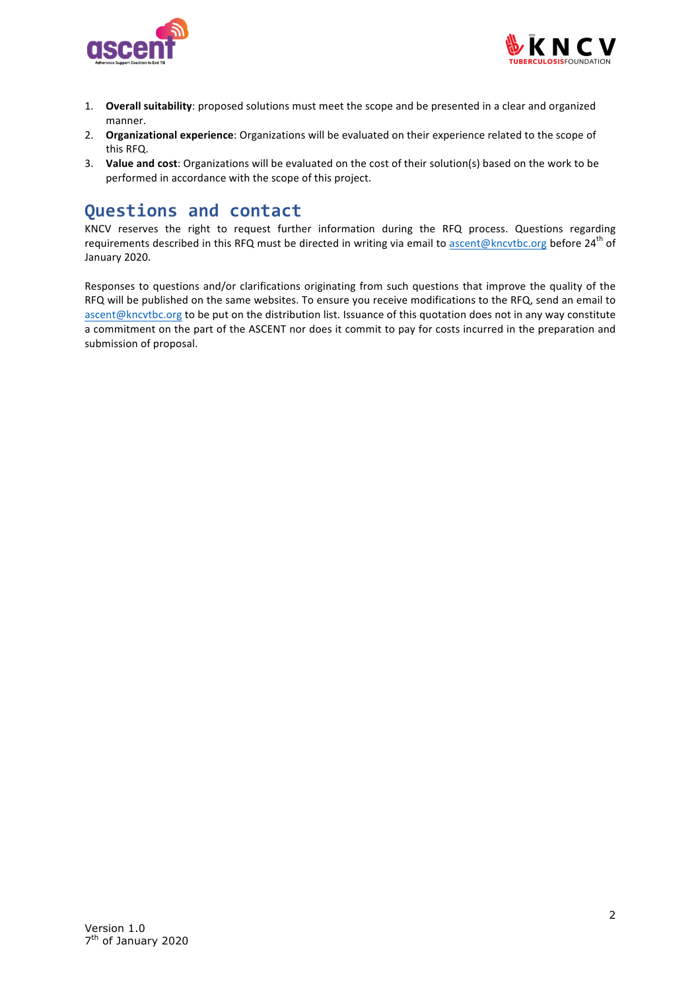



- 1. **Overall suitability**: proposed solutions must meet the scope and be presented in a clear and organized manner.
- 2. **Organizational experience**: Organizations will be evaluated on their experience related to the scope of this RFQ.
- 3. Value and cost: Organizations will be evaluated on the cost of their solution(s) based on the work to be performed in accordance with the scope of this project.

## **Questions and contact**

KNCV reserves the right to request further information during the RFQ process. Questions regarding requirements described in this RFQ must be directed in writing via email to ascent@kncvtbc.org before 24<sup>th</sup> of January 2020.

Responses to questions and/or clarifications originating from such questions that improve the quality of the RFQ will be published on the same websites. To ensure you receive modifications to the RFQ, send an email to ascent@kncvtbc.org to be put on the distribution list. Issuance of this quotation does not in any way constitute a commitment on the part of the ASCENT nor does it commit to pay for costs incurred in the preparation and submission of proposal.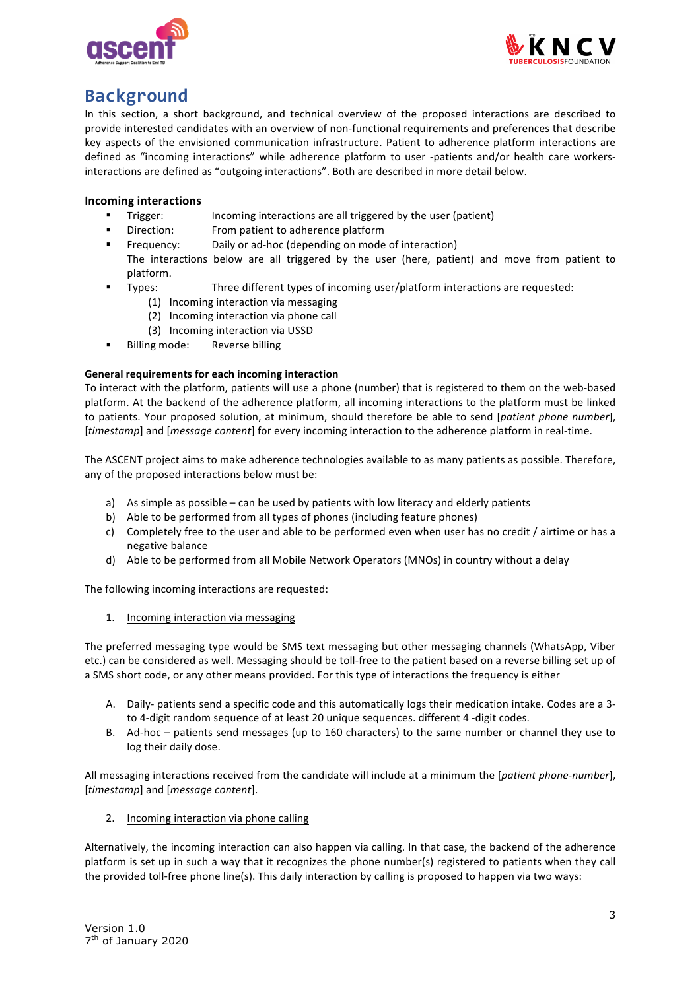



# **Background**

In this section, a short background, and technical overview of the proposed interactions are described to provide interested candidates with an overview of non-functional requirements and preferences that describe key aspects of the envisioned communication infrastructure. Patient to adherence platform interactions are defined as "incoming interactions" while adherence platform to user -patients and/or health care workersinteractions are defined as "outgoing interactions". Both are described in more detail below.

## **Incoming interactions**

- Trigger: Incoming interactions are all triggered by the user (patient)
- Direction: From patient to adherence platform
- Frequency: Daily or ad-hoc (depending on mode of interaction)
- The interactions below are all triggered by the user (here, patient) and move from patient to platform.
- Types: Three different types of incoming user/platform interactions are requested:
	- (1) Incoming interaction via messaging
	- (2) Incoming interaction via phone call
	- (3) Incoming interaction via USSD
- Billing mode: Reverse billing

### **General requirements for each incoming interaction**

To interact with the platform, patients will use a phone (number) that is registered to them on the web-based platform. At the backend of the adherence platform, all incoming interactions to the platform must be linked to patients. Your proposed solution, at minimum, should therefore be able to send [patient phone number], [*timestamp*] and [*message content*] for every incoming interaction to the adherence platform in real-time.

The ASCENT project aims to make adherence technologies available to as many patients as possible. Therefore, any of the proposed interactions below must be:

- a) As simple as possible can be used by patients with low literacy and elderly patients
- b) Able to be performed from all types of phones (including feature phones)
- c) Completely free to the user and able to be performed even when user has no credit / airtime or has a negative balance
- d) Able to be performed from all Mobile Network Operators (MNOs) in country without a delay

The following incoming interactions are requested:

1. Incoming interaction via messaging

The preferred messaging type would be SMS text messaging but other messaging channels (WhatsApp, Viber etc.) can be considered as well. Messaging should be toll-free to the patient based on a reverse billing set up of a SMS short code, or any other means provided. For this type of interactions the frequency is either

- A. Daily- patients send a specific code and this automatically logs their medication intake. Codes are a 3to 4-digit random sequence of at least 20 unique sequences. different 4 -digit codes.
- B. Ad-hoc patients send messages (up to 160 characters) to the same number or channel they use to log their daily dose.

All messaging interactions received from the candidate will include at a minimum the [*patient phone-number*], [*timestamp*] and [*message content*].

2. Incoming interaction via phone calling

Alternatively, the incoming interaction can also happen via calling. In that case, the backend of the adherence platform is set up in such a way that it recognizes the phone number(s) registered to patients when they call the provided toll-free phone line(s). This daily interaction by calling is proposed to happen via two ways: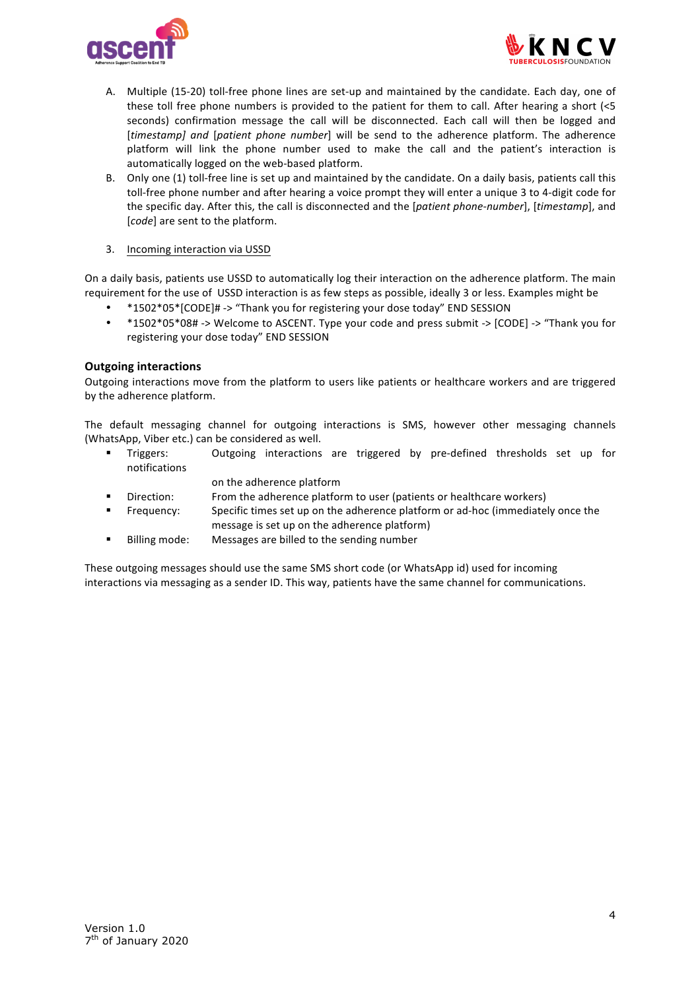



- A. Multiple (15-20) toll-free phone lines are set-up and maintained by the candidate. Each day, one of these toll free phone numbers is provided to the patient for them to call. After hearing a short  $\leq 5$ seconds) confirmation message the call will be disconnected. Each call will then be logged and [*timestamp]* and [*patient phone number*] will be send to the adherence platform. The adherence platform will link the phone number used to make the call and the patient's interaction is automatically logged on the web-based platform.
- B. Only one (1) toll-free line is set up and maintained by the candidate. On a daily basis, patients call this toll-free phone number and after hearing a voice prompt they will enter a unique 3 to 4-digit code for the specific day. After this, the call is disconnected and the [*patient phone-number*], [timestamp], and [*code*] are sent to the platform.
- 3. Incoming interaction via USSD

On a daily basis, patients use USSD to automatically log their interaction on the adherence platform. The main requirement for the use of USSD interaction is as few steps as possible, ideally 3 or less. Examples might be

- \*1502\*05\*[CODE]# -> "Thank you for registering your dose today" END SESSION
- \*1502\*05\*08# -> Welcome to ASCENT. Type your code and press submit -> [CODE] -> "Thank you for registering your dose today" END SESSION

## **Outgoing interactions**

Outgoing interactions move from the platform to users like patients or healthcare workers and are triggered by the adherence platform.

The default messaging channel for outgoing interactions is SMS, however other messaging channels (WhatsApp, Viber etc.) can be considered as well.

- Triggers: Outgoing interactions are triggered by pre-defined thresholds set up for notifications
	- on the adherence platform
- Direction: From the adherence platform to user (patients or healthcare workers)
- Frequency: Specific times set up on the adherence platform or ad-hoc (immediately once the message is set up on the adherence platform)
- Billing mode: Messages are billed to the sending number

These outgoing messages should use the same SMS short code (or WhatsApp id) used for incoming interactions via messaging as a sender ID. This way, patients have the same channel for communications.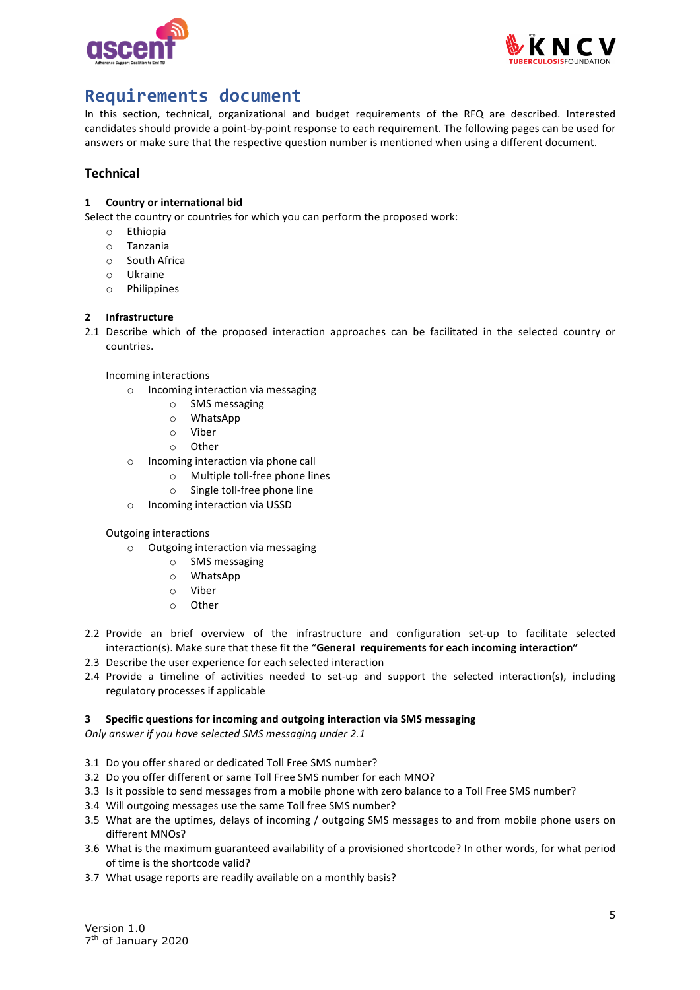



# **Requirements document**

In this section, technical, organizational and budget requirements of the RFQ are described. Interested candidates should provide a point-by-point response to each requirement. The following pages can be used for answers or make sure that the respective question number is mentioned when using a different document.

## **Technical**

## **1 Country or international bid**

Select the country or countries for which you can perform the proposed work:

- o Ethiopia
- o Tanzania
- o South Africa
- o Ukraine
- o Philippines

## 2 **Infrastructure**

2.1 Describe which of the proposed interaction approaches can be facilitated in the selected country or countries.

### Incoming interactions

- $\circ$  Incoming interaction via messaging
	- o SMS messaging
	- o WhatsApp
	- o Viber
	- o Other
- $\circ$  Incoming interaction via phone call
	- $\circ$  Multiple toll-free phone lines
	- $\circ$  Single toll-free phone line
- o Incoming interaction via USSD

### **Outgoing interactions**

- $\circ$  Outgoing interaction via messaging
	- o SMS messaging
	- o WhatsApp
	- o Viber
	- o Other
- 2.2 Provide an brief overview of the infrastructure and configuration set-up to facilitate selected interaction(s). Make sure that these fit the "General requirements for each incoming interaction"
- 2.3 Describe the user experience for each selected interaction
- 2.4 Provide a timeline of activities needed to set-up and support the selected interaction(s), including regulatory processes if applicable

## **3** Specific questions for incoming and outgoing interaction via SMS messaging

*Only answer if you have selected SMS messaging under 2.1* 

- 3.1 Do you offer shared or dedicated Toll Free SMS number?
- 3.2 Do you offer different or same Toll Free SMS number for each MNO?
- 3.3 Is it possible to send messages from a mobile phone with zero balance to a Toll Free SMS number?
- 3.4 Will outgoing messages use the same Toll free SMS number?
- 3.5 What are the uptimes, delays of incoming / outgoing SMS messages to and from mobile phone users on different MNOs?
- 3.6 What is the maximum guaranteed availability of a provisioned shortcode? In other words, for what period of time is the shortcode valid?
- 3.7 What usage reports are readily available on a monthly basis?